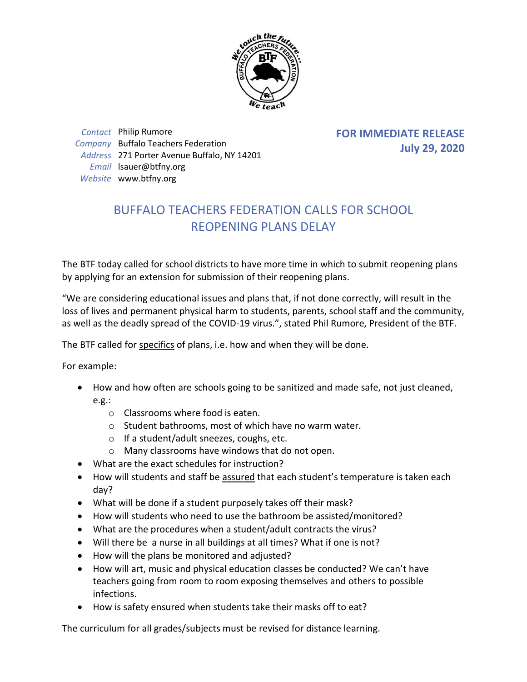

*Contact* Philip Rumore *Company* Buffalo Teachers Federation *Address* 271 Porter Avenue Buffalo, NY 14201 *Email* lsauer@btfny.org *Website* www.btfny.org

**FOR IMMEDIATE RELEASE July 29, 2020**

## BUFFALO TEACHERS FEDERATION CALLS FOR SCHOOL REOPENING PLANS DELAY

The BTF today called for school districts to have more time in which to submit reopening plans by applying for an extension for submission of their reopening plans.

"We are considering educational issues and plans that, if not done correctly, will result in the loss of lives and permanent physical harm to students, parents, school staff and the community, as well as the deadly spread of the COVID-19 virus.", stated Phil Rumore, President of the BTF.

The BTF called for specifics of plans, i.e. how and when they will be done.

For example:

- How and how often are schools going to be sanitized and made safe, not just cleaned, e.g.:
	- o Classrooms where food is eaten.
	- o Student bathrooms, most of which have no warm water.
	- o If a student/adult sneezes, coughs, etc.
	- o Many classrooms have windows that do not open.
- What are the exact schedules for instruction?
- How will students and staff be assured that each student's temperature is taken each day?
- What will be done if a student purposely takes off their mask?
- How will students who need to use the bathroom be assisted/monitored?
- What are the procedures when a student/adult contracts the virus?
- Will there be a nurse in all buildings at all times? What if one is not?
- How will the plans be monitored and adjusted?
- How will art, music and physical education classes be conducted? We can't have teachers going from room to room exposing themselves and others to possible infections.
- How is safety ensured when students take their masks off to eat?

The curriculum for all grades/subjects must be revised for distance learning.